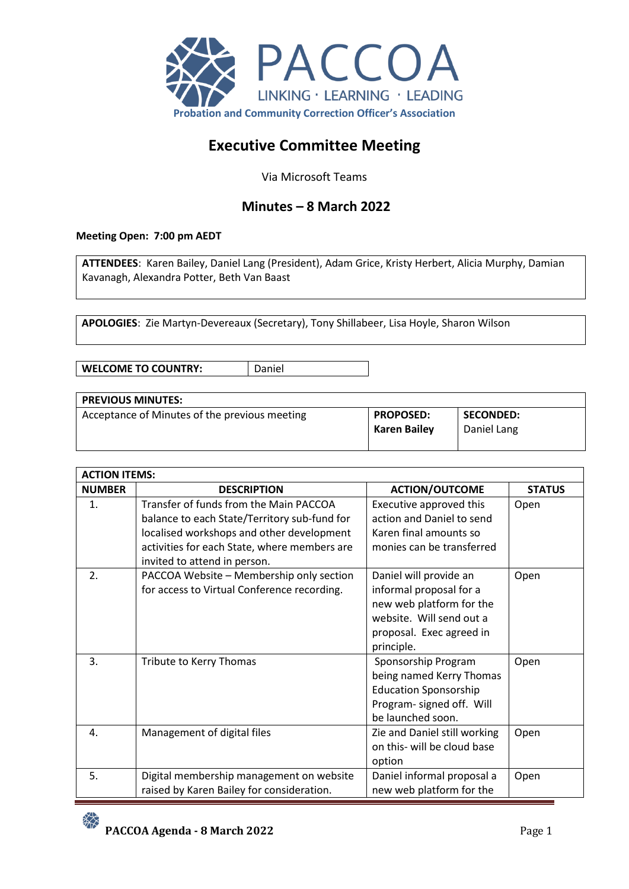

# **Executive Committee Meeting**

Via Microsoft Teams

## **Minutes – 8 March 2022**

#### **Meeting Open: 7:00 pm AEDT**

**ATTENDEES**: Karen Bailey, Daniel Lang (President), Adam Grice, Kristy Herbert, Alicia Murphy, Damian Kavanagh, Alexandra Potter, Beth Van Baast

**APOLOGIES**: Zie Martyn-Devereaux (Secretary), Tony Shillabeer, Lisa Hoyle, Sharon Wilson

**WELCOME TO COUNTRY:** | Daniel

| <b>PREVIOUS MINUTES:</b>                      |                     |                  |
|-----------------------------------------------|---------------------|------------------|
| Acceptance of Minutes of the previous meeting | <b>PROPOSED:</b>    | <b>SECONDED:</b> |
|                                               | <b>Karen Bailev</b> | Daniel Lang      |
|                                               |                     |                  |

| <b>ACTION ITEMS:</b> |                                              |                              |               |
|----------------------|----------------------------------------------|------------------------------|---------------|
| <b>NUMBER</b>        | <b>DESCRIPTION</b>                           | <b>ACTION/OUTCOME</b>        | <b>STATUS</b> |
| 1.                   | Transfer of funds from the Main PACCOA       | Executive approved this      | Open          |
|                      | balance to each State/Territory sub-fund for | action and Daniel to send    |               |
|                      | localised workshops and other development    | Karen final amounts so       |               |
|                      | activities for each State, where members are | monies can be transferred    |               |
|                      | invited to attend in person.                 |                              |               |
| 2.                   | PACCOA Website - Membership only section     | Daniel will provide an       | Open          |
|                      | for access to Virtual Conference recording.  | informal proposal for a      |               |
|                      |                                              | new web platform for the     |               |
|                      |                                              | website. Will send out a     |               |
|                      |                                              | proposal. Exec agreed in     |               |
|                      |                                              | principle.                   |               |
| 3.                   | Tribute to Kerry Thomas                      | Sponsorship Program          | Open          |
|                      |                                              | being named Kerry Thomas     |               |
|                      |                                              | <b>Education Sponsorship</b> |               |
|                      |                                              | Program- signed off. Will    |               |
|                      |                                              | be launched soon.            |               |
| 4.                   | Management of digital files                  | Zie and Daniel still working | Open          |
|                      |                                              | on this- will be cloud base  |               |
|                      |                                              | option                       |               |
| 5.                   | Digital membership management on website     | Daniel informal proposal a   | Open          |
|                      | raised by Karen Bailey for consideration.    | new web platform for the     |               |

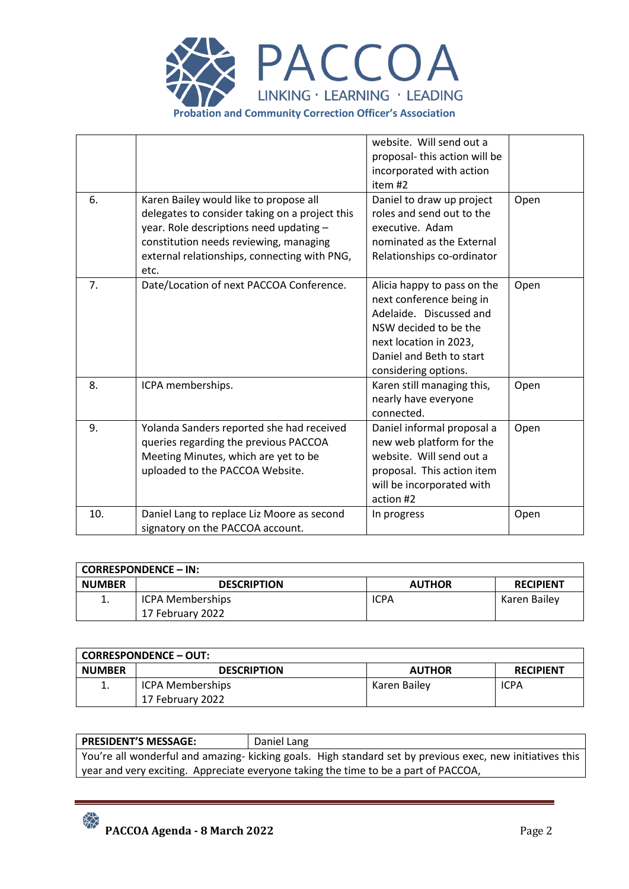

|     |                                                | website. Will send out a     |      |
|-----|------------------------------------------------|------------------------------|------|
|     |                                                | proposal-this action will be |      |
|     |                                                | incorporated with action     |      |
|     |                                                | item #2                      |      |
| 6.  | Karen Bailey would like to propose all         | Daniel to draw up project    | Open |
|     | delegates to consider taking on a project this | roles and send out to the    |      |
|     | year. Role descriptions need updating -        | executive. Adam              |      |
|     | constitution needs reviewing, managing         | nominated as the External    |      |
|     | external relationships, connecting with PNG,   | Relationships co-ordinator   |      |
|     | etc.                                           |                              |      |
| 7.  | Date/Location of next PACCOA Conference.       | Alicia happy to pass on the  | Open |
|     |                                                | next conference being in     |      |
|     |                                                | Adelaide. Discussed and      |      |
|     |                                                | NSW decided to be the        |      |
|     |                                                | next location in 2023,       |      |
|     |                                                | Daniel and Beth to start     |      |
|     |                                                | considering options.         |      |
| 8.  | ICPA memberships.                              | Karen still managing this,   | Open |
|     |                                                | nearly have everyone         |      |
|     |                                                | connected.                   |      |
| 9.  | Yolanda Sanders reported she had received      | Daniel informal proposal a   | Open |
|     | queries regarding the previous PACCOA          | new web platform for the     |      |
|     | Meeting Minutes, which are yet to be           | website. Will send out a     |      |
|     | uploaded to the PACCOA Website.                | proposal. This action item   |      |
|     |                                                | will be incorporated with    |      |
|     |                                                | action #2                    |      |
| 10. | Daniel Lang to replace Liz Moore as second     | In progress                  | Open |
|     | signatory on the PACCOA account.               |                              |      |

|               | <b>CORRESPONDENCE – IN:</b> |               |                  |
|---------------|-----------------------------|---------------|------------------|
| <b>NUMBER</b> | <b>DESCRIPTION</b>          | <b>AUTHOR</b> | <b>RECIPIENT</b> |
| ı.            | <b>ICPA Memberships</b>     | <b>ICPA</b>   | Karen Bailey     |
|               | 17 February 2022            |               |                  |

|               | <b>CORRESPONDENCE - OUT:</b> |               |                  |
|---------------|------------------------------|---------------|------------------|
| <b>NUMBER</b> | <b>DESCRIPTION</b>           | <b>AUTHOR</b> | <b>RECIPIENT</b> |
| ∸.            | ICPA Memberships             | Karen Bailey  | <b>ICPA</b>      |
|               | 17 February 2022             |               |                  |

## **PRESIDENT'S MESSAGE:** Daniel Lang

You're all wonderful and amazing- kicking goals. High standard set by previous exec, new initiatives this year and very exciting. Appreciate everyone taking the time to be a part of PACCOA,

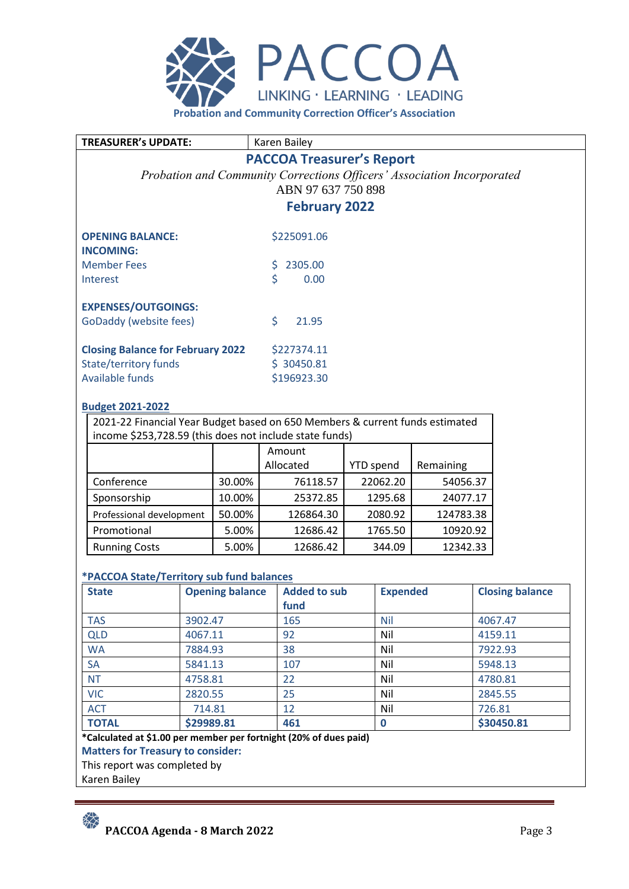

**TREASURER's UPDATE:** Karen Bailey

## **PACCOA Treasurer's Report**

*Probation and Community Corrections Officers' Association Incorporated* ABN 97 637 750 898

**February 2022** 

| <b>OPENING BALANCE:</b><br><b>INCOMING:</b>          |    | \$225091.06 |
|------------------------------------------------------|----|-------------|
| <b>Member Fees</b>                                   | Ś. | 2305.00     |
| Interest                                             | Ś  | 0.00        |
| <b>EXPENSES/OUTGOINGS:</b><br>GoDaddy (website fees) | Ś  | 21.95       |
| <b>Closing Balance for February 2022</b>             |    | \$227374.11 |
| State/territory funds                                |    | \$30450.81  |
| <b>Available funds</b>                               |    | \$196923.30 |

#### **Budget 2021-2022**

2021-22 Financial Year Budget based on 650 Members & current funds estimated income \$253,728.59 (this does not include state funds)

|                          |        | Amount    |                  |           |
|--------------------------|--------|-----------|------------------|-----------|
|                          |        | Allocated | <b>YTD</b> spend | Remaining |
| Conference               | 30.00% | 76118.57  | 22062.20         | 54056.37  |
| Sponsorship              | 10.00% | 25372.85  | 1295.68          | 24077.17  |
| Professional development | 50.00% | 126864.30 | 2080.92          | 124783.38 |
| Promotional              | 5.00%  | 12686.42  | 1765.50          | 10920.92  |
| <b>Running Costs</b>     | 5.00%  | 12686.42  | 344.09           | 12342.33  |

## **\*PACCOA State/Territory sub fund balances**

| <b>State</b> | <b>Opening balance</b> | <b>Added to sub</b> | <b>Expended</b> | <b>Closing balance</b> |
|--------------|------------------------|---------------------|-----------------|------------------------|
|              |                        | fund                |                 |                        |
| <b>TAS</b>   | 3902.47                | 165                 | <b>Nil</b>      | 4067.47                |
| <b>QLD</b>   | 4067.11                | 92                  | Nil             | 4159.11                |
| <b>WA</b>    | 7884.93                | 38                  | Nil             | 7922.93                |
| <b>SA</b>    | 5841.13                | 107                 | Nil             | 5948.13                |
| <b>NT</b>    | 4758.81                | 22                  | Nil             | 4780.81                |
| <b>VIC</b>   | 2820.55                | 25                  | Nil             | 2845.55                |
| <b>ACT</b>   | 714.81                 | 12                  | Nil             | 726.81                 |
| <b>TOTAL</b> | \$29989.81             | 461                 | 0               | \$30450.81             |

**\*Calculated at \$1.00 per member per fortnight (20% of dues paid)**

**Matters for Treasury to consider:**

This report was completed by

Karen Bailey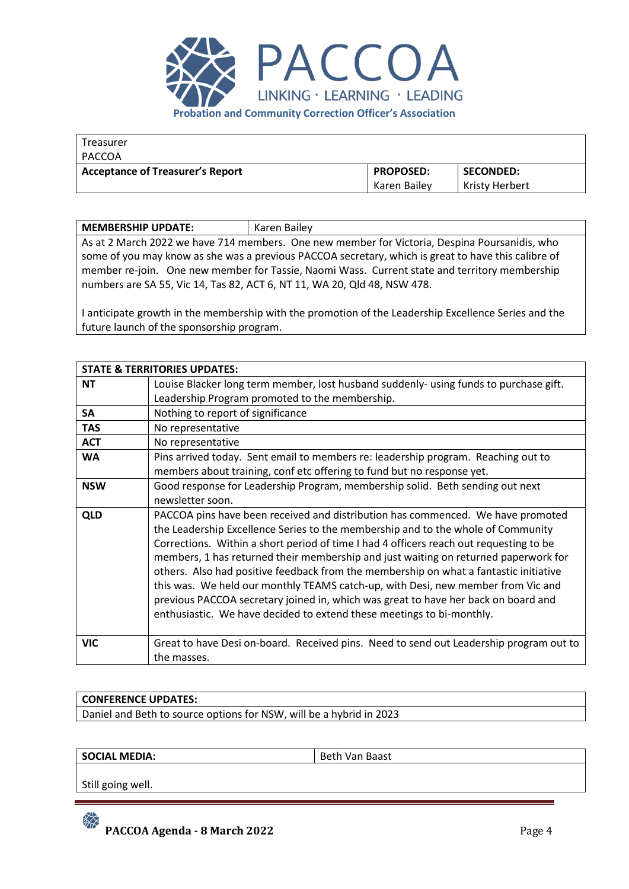

| Treasurer                               |                  |                  |
|-----------------------------------------|------------------|------------------|
| PACCOA                                  |                  |                  |
| <b>Acceptance of Treasurer's Report</b> | <b>PROPOSED:</b> | <b>SECONDED:</b> |
|                                         | Karen Bailev     | Kristy Herbert   |

| <b>MEMBERSHIP UPDATE:</b>                                                                           | Karen Bailey |  |
|-----------------------------------------------------------------------------------------------------|--------------|--|
| As at 2 March 2022 we have 714 members. One new member for Victoria, Despina Poursanidis, who       |              |  |
| some of you may know as she was a previous PACCOA secretary, which is great to have this calibre of |              |  |
| member re-join. One new member for Tassie, Naomi Wass. Current state and territory membership       |              |  |
| numbers are SA 55, Vic 14, Tas 82, ACT 6, NT 11, WA 20, Qld 48, NSW 478.                            |              |  |

I anticipate growth in the membership with the promotion of the Leadership Excellence Series and the future launch of the sponsorship program.

|            | <b>STATE &amp; TERRITORIES UPDATES:</b>                                                                                                                                                                                                                                                                                                                                                                                                                                                                                                                                                                                 |
|------------|-------------------------------------------------------------------------------------------------------------------------------------------------------------------------------------------------------------------------------------------------------------------------------------------------------------------------------------------------------------------------------------------------------------------------------------------------------------------------------------------------------------------------------------------------------------------------------------------------------------------------|
|            |                                                                                                                                                                                                                                                                                                                                                                                                                                                                                                                                                                                                                         |
| <b>NT</b>  | Louise Blacker long term member, lost husband suddenly- using funds to purchase gift.                                                                                                                                                                                                                                                                                                                                                                                                                                                                                                                                   |
|            | Leadership Program promoted to the membership.                                                                                                                                                                                                                                                                                                                                                                                                                                                                                                                                                                          |
| <b>SA</b>  | Nothing to report of significance                                                                                                                                                                                                                                                                                                                                                                                                                                                                                                                                                                                       |
| <b>TAS</b> | No representative                                                                                                                                                                                                                                                                                                                                                                                                                                                                                                                                                                                                       |
| <b>ACT</b> | No representative                                                                                                                                                                                                                                                                                                                                                                                                                                                                                                                                                                                                       |
| <b>WA</b>  | Pins arrived today. Sent email to members re: leadership program. Reaching out to                                                                                                                                                                                                                                                                                                                                                                                                                                                                                                                                       |
|            | members about training, conf etc offering to fund but no response yet.                                                                                                                                                                                                                                                                                                                                                                                                                                                                                                                                                  |
| <b>NSW</b> | Good response for Leadership Program, membership solid. Beth sending out next                                                                                                                                                                                                                                                                                                                                                                                                                                                                                                                                           |
|            | newsletter soon.                                                                                                                                                                                                                                                                                                                                                                                                                                                                                                                                                                                                        |
| <b>QLD</b> | PACCOA pins have been received and distribution has commenced. We have promoted<br>the Leadership Excellence Series to the membership and to the whole of Community<br>Corrections. Within a short period of time I had 4 officers reach out requesting to be<br>members, 1 has returned their membership and just waiting on returned paperwork for<br>others. Also had positive feedback from the membership on what a fantastic initiative<br>this was. We held our monthly TEAMS catch-up, with Desi, new member from Vic and<br>previous PACCOA secretary joined in, which was great to have her back on board and |
| <b>VIC</b> | enthusiastic. We have decided to extend these meetings to bi-monthly.<br>Great to have Desi on-board. Received pins. Need to send out Leadership program out to                                                                                                                                                                                                                                                                                                                                                                                                                                                         |
|            | the masses.                                                                                                                                                                                                                                                                                                                                                                                                                                                                                                                                                                                                             |

## **CONFERENCE UPDATES:**

Daniel and Beth to source options for NSW, will be a hybrid in 2023

**SOCIAL MEDIA:** Beth Van Baast

Still going well.